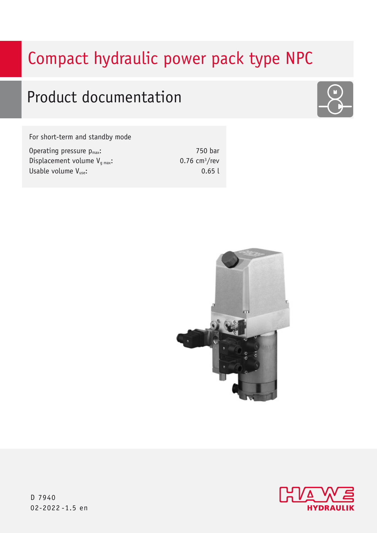# Compact hydraulic power pack type NPC

# Product documentation

For short-term and standby mode

| Operating pressure $p_{max}$ :    |
|-----------------------------------|
| Displacement volume $V_{q,max}$ : |
| Usable volume $V_{use}:$          |

750 bar  $0.76$  cm<sup>3</sup>/rev 0.65 l







D 7940 02-2022 -1.5 en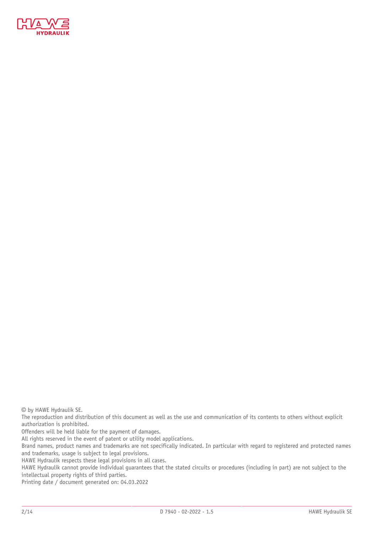

© by HAWE Hydraulik SE.

The reproduction and distribution of this document as well as the use and communication of its contents to others without explicit authorization is prohibited.

Offenders will be held liable for the payment of damages.

All rights reserved in the event of patent or utility model applications.

Brand names, product names and trademarks are not specifically indicated. In particular with regard to registered and protected names and trademarks, usage is subject to legal provisions.

HAWE Hydraulik respects these legal provisions in all cases.

HAWE Hydraulik cannot provide individual guarantees that the stated circuits or procedures (including in part) are not subject to the intellectual property rights of third parties.

Printing date / document generated on: 04.03.2022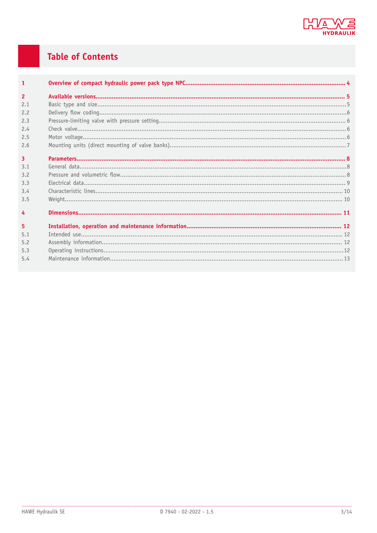

# **Table of Contents**

| $\mathbf{1}$   |  |
|----------------|--|
| $\overline{2}$ |  |
| 2.1            |  |
| 2.2            |  |
| 2.3            |  |
| 2.4            |  |
| 2.5            |  |
| 2.6            |  |
| $\overline{3}$ |  |
| 3.1            |  |
| 3.2            |  |
| 3.3            |  |
| 3.4            |  |
| 3.5            |  |
| $\overline{4}$ |  |
| 5              |  |
| 5.1            |  |
| 5.2            |  |
| 5.3            |  |
| 5.4            |  |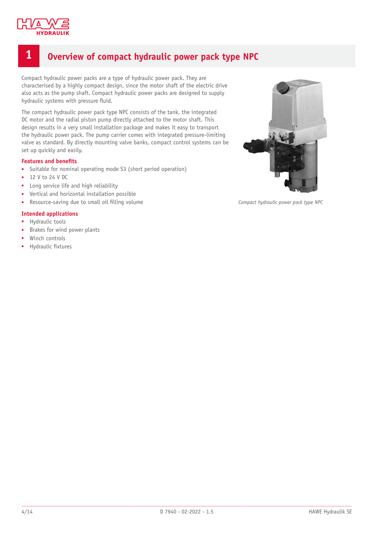

# <span id="page-3-0"></span>**1 Overview of compact hydraulic power pack type NPC**

Compact hydraulic power packs are a type of hydraulic power pack. They are characterised by a highly compact design, since the motor shaft of the electric drive also acts as the pump shaft. Compact hydraulic power packs are designed to supply hydraulic systems with pressure fluid.

The compact hydraulic power pack type NPC consists of the tank, the integrated DC motor and the radial piston pump directly attached to the motor shaft. This design results in a very small installation package and makes it easy to transport the hydraulic power pack. The pump carrier comes with integrated pressure-limiting valve as standard. By directly mounting valve banks, compact control systems can be set up quickly and easily.

#### **Features and benets**

- Suitable for nominal operating mode S3 (short period operation)
- 12 V to 24 V DC
- Long service life and high reliability
- Vertical and horizontal installation possible
- Resource-saving due to small oil filling volume

#### **Intended applications**

- Hydraulic tools
- Brakes for wind power plants
- Winch controls
- Hydraulic fixtures



*Compact hydraulic power pack type NPC*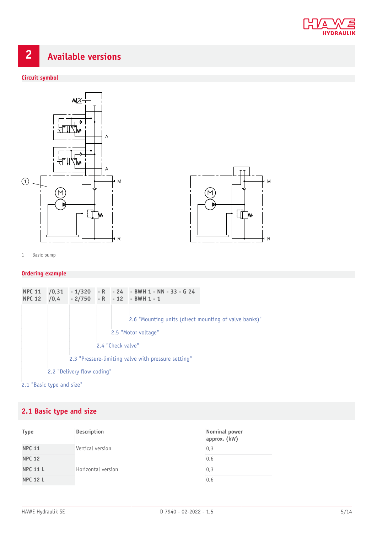

# <span id="page-4-0"></span>**2 Available versions**

#### **Circuit symbol**





1 Basic pump

#### **Ordering example**

| <b>NPC 11</b><br><b>NPC 12</b> |                                                     |  |  |                   | $\big  70,31 \big  - 1/320 \big  - R \big  - 24$ - BWH 1 - NN - 33 - G 24<br>$/0,4$ - 2/750 - R - 12 - BWH 1 - 1 |  |
|--------------------------------|-----------------------------------------------------|--|--|-------------------|------------------------------------------------------------------------------------------------------------------|--|
|                                |                                                     |  |  | 2.4 "Check valve" | 2.6 "Mounting units (direct mounting of valve banks)"<br>2.5 "Motor voltage"                                     |  |
|                                | 2.3 "Pressure-limiting valve with pressure setting" |  |  |                   |                                                                                                                  |  |
| 2.2 "Delivery flow coding"     |                                                     |  |  |                   |                                                                                                                  |  |

### 2.1 ["Basic](#page-4-1) type and size"

# <span id="page-4-1"></span>**2.1 Basic type and size**

| <b>Type</b>     | Description        | Nominal power<br>approx. (kW) |
|-----------------|--------------------|-------------------------------|
| <b>NPC 11</b>   | Vertical version   | 0,3                           |
| <b>NPC 12</b>   |                    | 0,6                           |
| <b>NPC 11 L</b> | Horizontal version | 0,3                           |
| <b>NPC 12 L</b> |                    | 0,6                           |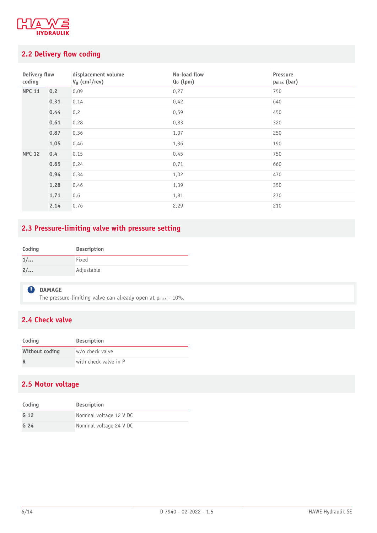

# <span id="page-5-0"></span>**2.2 Delivery flow coding**

| Delivery flow<br>coding |      | displacement volume<br>$Vg$ (cm <sup>3</sup> /rev) | No-load flow<br>Qo (lpm) | Pressure<br>p <sub>max</sub> (bar) |
|-------------------------|------|----------------------------------------------------|--------------------------|------------------------------------|
| <b>NPC 11</b>           | 0,2  | 0,09                                               | 0,27                     | 750                                |
|                         | 0,31 | 0,14                                               | 0,42                     | 640                                |
|                         | 0,44 | 0,2                                                | 0,59                     | 450                                |
|                         | 0,61 | 0,28                                               | 0,83                     | 320                                |
|                         | 0,87 | 0,36                                               | 1,07                     | 250                                |
|                         | 1,05 | 0,46                                               | 1,36                     | 190                                |
| <b>NPC 12</b>           | 0,4  | 0,15                                               | 0,45                     | 750                                |
|                         | 0,65 | 0,24                                               | 0,71                     | 660                                |
|                         | 0,94 | 0,34                                               | 1,02                     | 470                                |
|                         | 1,28 | 0,46                                               | 1,39                     | 350                                |
|                         | 1,71 | 0, 6                                               | 1,81                     | 270                                |
|                         | 2,14 | 0,76                                               | 2,29                     | 210                                |

# <span id="page-5-1"></span>**2.3 Pressure-limiting valve with pressure setting**

| Coding | Description |
|--------|-------------|
| 1/     | Fixed       |
| 2/     | Adjustable  |

#### **Q** DAMAGE

The pressure-limiting valve can already open at  $p_{max}$  - 10%.

## <span id="page-5-2"></span>**2.4 Check valve**

| Coding         | <b>Description</b>    |
|----------------|-----------------------|
| Without coding | w/o check valve       |
|                | with check valve in P |

### <span id="page-5-3"></span>**2.5 Motor voltage**

| Coding          | <b>Description</b>      |
|-----------------|-------------------------|
| G <sub>12</sub> | Nominal voltage 12 V DC |
| G <sub>24</sub> | Nominal voltage 24 V DC |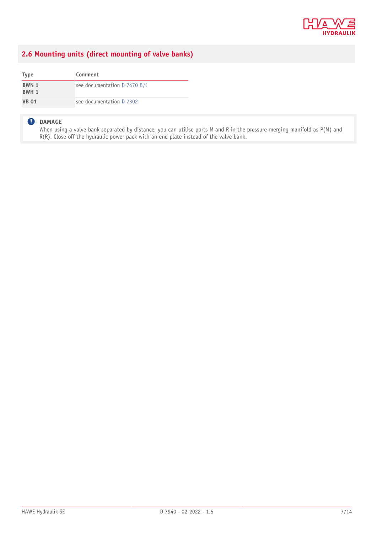

### <span id="page-6-0"></span>**2.6 Mounting units (direct mounting of valve banks)**

| <b>Type</b>    | Comment                      |
|----------------|------------------------------|
| BWN 1<br>BWH 1 | see documentation D 7470 B/1 |
| <b>VB 01</b>   | see documentation D 7302     |

#### **DAMAGE**

When using a valve bank separated by distance, you can utilise ports M and R in the pressure-merging manifold as P(M) and R(R). Close off the hydraulic power pack with an end plate instead of the valve bank.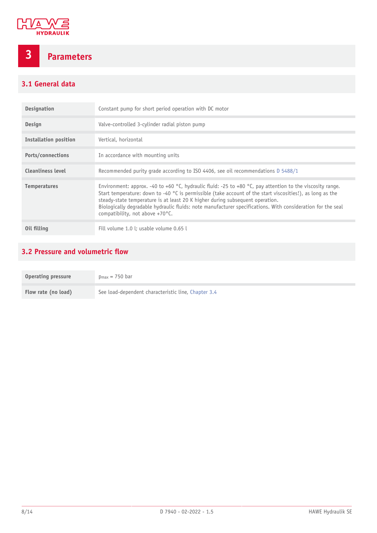

# <span id="page-7-0"></span>**3 Parameters**

# <span id="page-7-1"></span>**3.1 General data**

| <b>Designation</b>       | Constant pump for short period operation with DC motor                                                                                                                                                                                                                                                                                                                                                                                                             |
|--------------------------|--------------------------------------------------------------------------------------------------------------------------------------------------------------------------------------------------------------------------------------------------------------------------------------------------------------------------------------------------------------------------------------------------------------------------------------------------------------------|
| Design                   | Valve-controlled 3-cylinder radial piston pump                                                                                                                                                                                                                                                                                                                                                                                                                     |
| Installation position    | Vertical, horizontal                                                                                                                                                                                                                                                                                                                                                                                                                                               |
| Ports/connections        | In accordance with mounting units                                                                                                                                                                                                                                                                                                                                                                                                                                  |
| <b>Cleanliness level</b> | Recommended purity grade according to ISO 4406, see oil recommendations D 5488/1                                                                                                                                                                                                                                                                                                                                                                                   |
| <b>Temperatures</b>      | Environment: approx. -40 to +60 °C, hydraulic fluid: -25 to +80 °C, pay attention to the viscosity range.<br>Start temperature: down to -40 $\degree$ C is permissible (take account of the start viscosities!), as long as the<br>steady-state temperature is at least 20 K higher during subsequent operation.<br>Biologically degradable hydraulic fluids: note manufacturer specifications. With consideration for the seal<br>compatibility, not above +70°C. |
| Oil filling              | Fill volume 1.0 l: usable volume 0.65 l                                                                                                                                                                                                                                                                                                                                                                                                                            |

### <span id="page-7-2"></span>**3.2 Pressure and volumetric flow**

| Operating pressure  | $p_{max} = 750$ bar                                 |
|---------------------|-----------------------------------------------------|
| Flow rate (no load) | See load-dependent characteristic line, Chapter 3.4 |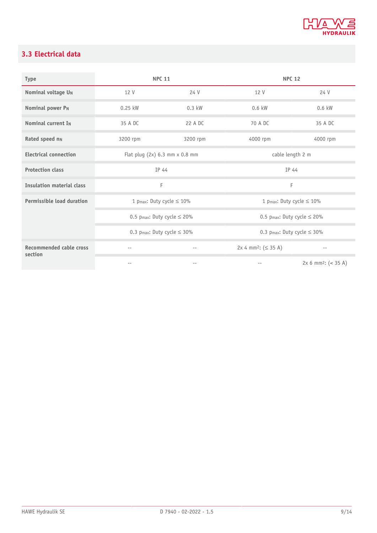

# <span id="page-8-0"></span>**3.3 Electrical data**

| <b>Type</b>                               | <b>NPC 11</b>                                |                                | <b>NPC 12</b>                                |                                |  |
|-------------------------------------------|----------------------------------------------|--------------------------------|----------------------------------------------|--------------------------------|--|
| Nominal voltage UN                        | 12 V                                         | 24 V                           | 12 V                                         | 24 V                           |  |
| Nominal power PN                          | $0.25$ kW                                    | $0.3$ kW                       | $0.6$ kW                                     | 0.6 kW                         |  |
| Nominal current I <sub>N</sub>            | 35 A DC                                      | 22 A DC                        |                                              | 35 A DC                        |  |
| Rated speed nn                            | 3200 rpm                                     | 3200 rpm                       |                                              | 4000 rpm                       |  |
| <b>Electrical connection</b>              | Flat plug $(2x)$ 6.3 mm $x$ 0.8 mm           |                                | cable length 2 m                             |                                |  |
| <b>Protection class</b>                   | IP 44                                        |                                | IP 44                                        |                                |  |
| Insulation material class                 | F                                            |                                | F                                            |                                |  |
| Permissible load duration                 |                                              | 1 pmax: Duty cycle $\leq 10\%$ |                                              | 1 pmax: Duty cycle $\leq 10\%$ |  |
|                                           | 0.5 p <sub>max</sub> : Duty cycle $\leq$ 20% |                                | 0.5 p <sub>max</sub> : Duty cycle $\leq$ 20% |                                |  |
|                                           | 0.3 pmax: Duty cycle $\leq$ 30%              |                                | 0.3 pmax: Duty cycle $\leq$ 30%              |                                |  |
| <b>Recommended cable cross</b><br>section | $- -$                                        | $- -$                          | $2x 4 mm2: ( \leq 35 A )$                    | $-\,-$                         |  |
|                                           | $- -$                                        | $- -$                          | $ -$                                         | $2x 6 mm2: (-35 A)$            |  |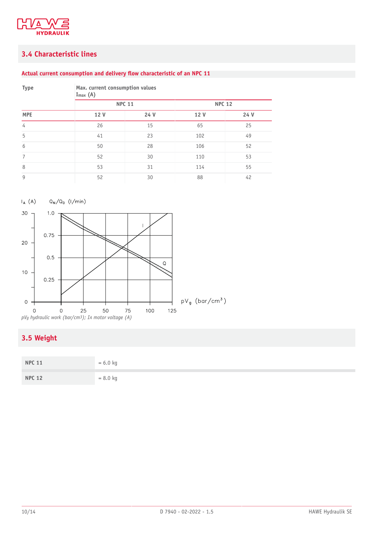

### <span id="page-9-0"></span>**3.4 Characteristic lines**

#### **Actual current consumption and delivery ow characteristic of an NPC 11**

| <b>Type</b> | Max. current consumption values<br>$I_{max}$ (A) |      |               |      |  |
|-------------|--------------------------------------------------|------|---------------|------|--|
|             | <b>NPC 11</b>                                    |      | <b>NPC 12</b> |      |  |
| <b>MPE</b>  | 12 V                                             | 24 V | 12 V          | 24 V |  |
| 4           | 26                                               | 15   | 65            | 25   |  |
| 5           | 41                                               | 23   | 102           | 49   |  |
| 6           | 50                                               | 28   | 106           | 52   |  |
| 7           | 52                                               | 30   | 110           | 53   |  |
| 8           | 53                                               | 31   | 114           | 55   |  |
| 9           | 52                                               | 30   | 88            | 42   |  |





# <span id="page-9-1"></span>**3.5 Weight**

| <b>NPC 11</b> | $= 6.0 kg$ |
|---------------|------------|
| <b>NPC 12</b> | $= 8.0$ kg |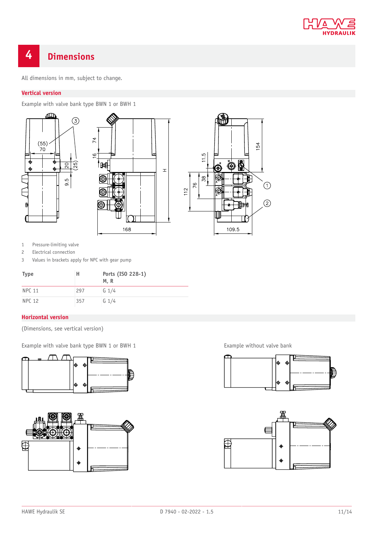

# <span id="page-10-0"></span>**4 Dimensions**

All dimensions in mm, subject to change.

#### **Vertical version**

Example with valve bank type BWN 1 or BWH 1







1 Pressure-limiting valve

2 Electrical connection

3 Values in brackets apply for NPC with gear pump

| <b>Type</b>   | н   | Ports (ISO 228-1)<br>M, R |
|---------------|-----|---------------------------|
| <b>NPC 11</b> | 297 | $G_1/4$                   |
| <b>NPC 12</b> | 357 | $G_1/4$                   |

#### **Horizontal version**

(Dimensions, see vertical version)

Example with valve bank type BWN 1 or BWH 1 **Example without valve bank** 







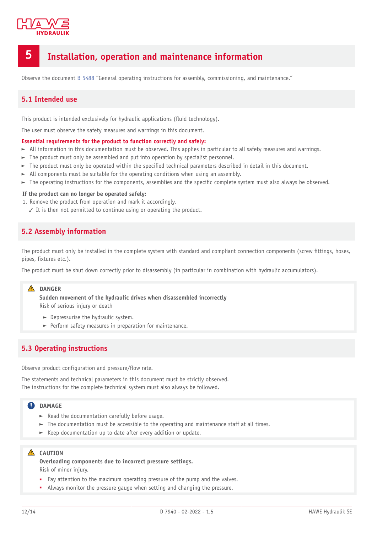

# <span id="page-11-0"></span>**5 Installation, operation and maintenance information**

<span id="page-11-1"></span>Observe the document [B 5488](http://www.hawe.de/fileadmin/content/typeman/catalog/Pdf/5/4/B5488-en.pdf) "General operating instructions for assembly, commissioning, and maintenance."

#### **5.1 Intended use**

This product is intended exclusively for hydraulic applications (fluid technology).

The user must observe the safety measures and warnings in this document.

#### **Essential requirements for the product to function correctly and safely:**

- $\blacktriangleright$  All information in this documentation must be observed. This applies in particular to all safety measures and warnings.
- $\blacktriangleright$  The product must only be assembled and put into operation by specialist personnel.
- $\blacktriangleright$  The product must only be operated within the specified technical parameters described in detail in this document.
- All components must be suitable for the operating conditions when using an assembly.
- $\blacktriangleright$  The operating instructions for the components, assemblies and the specific complete system must also always be observed.

#### **If the product can no longer be operated safely:**

1. Remove the product from operation and mark it accordingly.

<span id="page-11-2"></span>✓ It is then not permitted to continue using or operating the product.

#### **5.2 Assembly information**

The product must only be installed in the complete system with standard and compliant connection components (screw fittings, hoses, pipes, fixtures etc.).

The product must be shut down correctly prior to disassembly (in particular in combination with hydraulic accumulators).

#### **DANGER**

**Sudden movement of the hydraulic drives when disassembled incorrectly** Risk of serious injury or death

- $\blacktriangleright$  Depressurise the hydraulic system.
- $\blacktriangleright$  Perform safety measures in preparation for maintenance.

#### <span id="page-11-3"></span>**5.3 Operating instructions**

Observe product configuration and pressure/flow rate.

The statements and technical parameters in this document must be strictly observed. The instructions for the complete technical system must also always be followed.

#### **QDAMAGE**

- $\blacktriangleright$  Read the documentation carefully before usage.
- $\blacktriangleright$  The documentation must be accessible to the operating and maintenance staff at all times.
- $\blacktriangleright$  Keep documentation up to date after every addition or update.

#### **A** CAUTION

**Overloading components due to incorrect pressure settings.** Risk of minor injury.

- Pay attention to the maximum operating pressure of the pump and the valves.
- Always monitor the pressure gauge when setting and changing the pressure.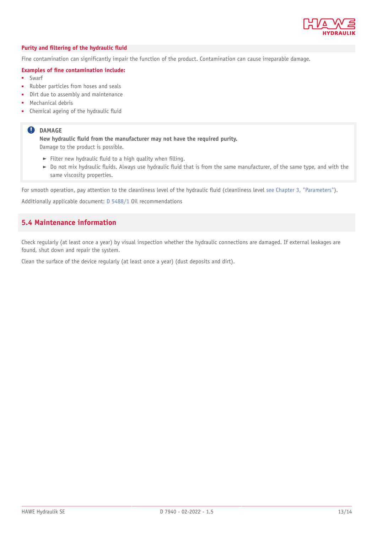

#### *Purity* **and filtering of the hydraulic fluid**

Fine contamination can significantly impair the function of the product. Contamination can cause irreparable damage.

#### **Examples of ne contamination include:**

- **Swarf**
- Rubber particles from hoses and seals
- Dirt due to assembly and maintenance
- Mechanical debris
- Chemical ageing of the hydraulic fluid

#### **O** DAMAGE

**New hydraulic uid from the manufacturer may not have the required purity.** Damage to the product is possible.

- Filter new hydraulic fluid to a high quality when filling.
- $\triangleright$  Do not mix hydraulic fluids. Always use hydraulic fluid that is from the same manufacturer, of the same type, and with the same viscosity properties.

For smooth operation, pay attention to the cleanliness level of the hydraulic fluid (cleanliness level [see Chapter 3,](#page-7-0) "Parameters").

<span id="page-12-0"></span>Additionally applicable document: [D 5488/1](https://downloads.hawe.com/5/4/D54881-en.pdf) Oil recommendations

#### **5.4 Maintenance information**

Check regularly (at least once a year) by visual inspection whether the hydraulic connections are damaged. If external leakages are found, shut down and repair the system.

Clean the surface of the device regularly (at least once a year) (dust deposits and dirt).